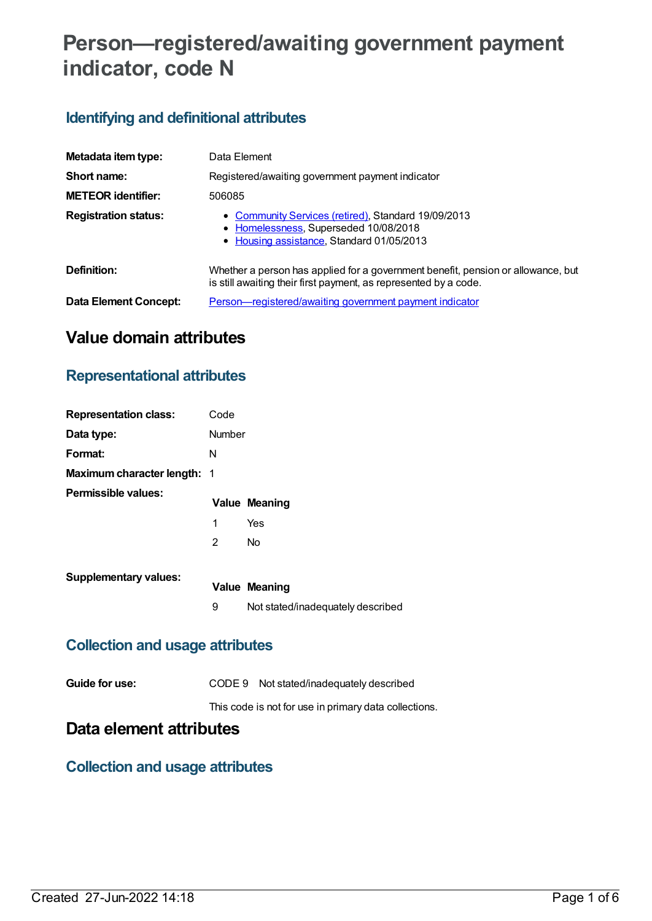# **Person—registered/awaiting government payment indicator, code N**

# **Identifying and definitional attributes**

| Metadata item type:         | Data Element                                                                                                                                         |
|-----------------------------|------------------------------------------------------------------------------------------------------------------------------------------------------|
| Short name:                 | Registered/awaiting government payment indicator                                                                                                     |
| <b>METEOR identifier:</b>   | 506085                                                                                                                                               |
| <b>Registration status:</b> | • Community Services (retired), Standard 19/09/2013<br>• Homelessness, Superseded 10/08/2018<br>• Housing assistance, Standard 01/05/2013            |
| Definition:                 | Whether a person has applied for a government benefit, pension or allowance, but<br>is still awaiting their first payment, as represented by a code. |
| Data Element Concept:       | Person—registered/awaiting government payment indicator                                                                                              |

# **Value domain attributes**

### **Representational attributes**

| <b>Representation class:</b>       | Code          |                                   |
|------------------------------------|---------------|-----------------------------------|
| Data type:                         | <b>Number</b> |                                   |
| Format:                            | N             |                                   |
| <b>Maximum character length: 1</b> |               |                                   |
| Permissible values:                |               | <b>Value Meaning</b>              |
|                                    | 1             | Yes                               |
|                                    | 2             | No                                |
| <b>Supplementary values:</b>       |               |                                   |
|                                    |               | <b>Value Meaning</b>              |
|                                    | 9             | Not stated/inadequately described |

## **Collection and usage attributes**

This code is not for use in primary data collections.

# **Data element attributes**

### **Collection and usage attributes**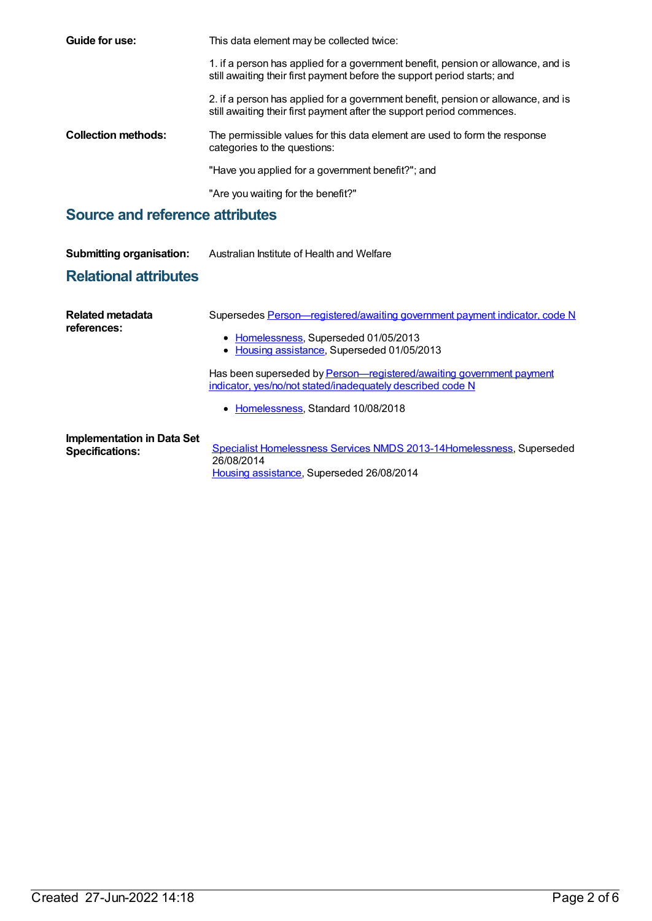| Guide for use:                         | This data element may be collected twice:                                                                                                                     |
|----------------------------------------|---------------------------------------------------------------------------------------------------------------------------------------------------------------|
|                                        | 1. if a person has applied for a government benefit, pension or allowance, and is<br>still awaiting their first payment before the support period starts; and |
|                                        | 2. if a person has applied for a government benefit, pension or allowance, and is<br>still awaiting their first payment after the support period commences.   |
| <b>Collection methods:</b>             | The permissible values for this data element are used to form the response<br>categories to the questions:                                                    |
|                                        | "Have you applied for a government benefit?"; and                                                                                                             |
|                                        | "Are you waiting for the benefit?"                                                                                                                            |
| <b>Source and reference attributes</b> |                                                                                                                                                               |

| <b>Submitting organisation:</b>                             | Australian Institute of Health and Welfare                                                                                                                                |
|-------------------------------------------------------------|---------------------------------------------------------------------------------------------------------------------------------------------------------------------------|
| <b>Relational attributes</b>                                |                                                                                                                                                                           |
| Related metadata<br>references:                             | Supersedes Person-registered/awaiting government payment indicator, code N<br>• Homelessness, Superseded 01/05/2013<br>• Housing assistance, Superseded 01/05/2013        |
|                                                             | Has been superseded by Person-registered/awaiting government payment<br>indicator, yes/no/not stated/inadequately described code N<br>• Homelessness, Standard 10/08/2018 |
| <b>Implementation in Data Set</b><br><b>Specifications:</b> | Specialist Homelessness Services NMDS 2013-14 Homelessness, Superseded<br>26/08/2014<br>Housing assistance, Superseded 26/08/2014                                         |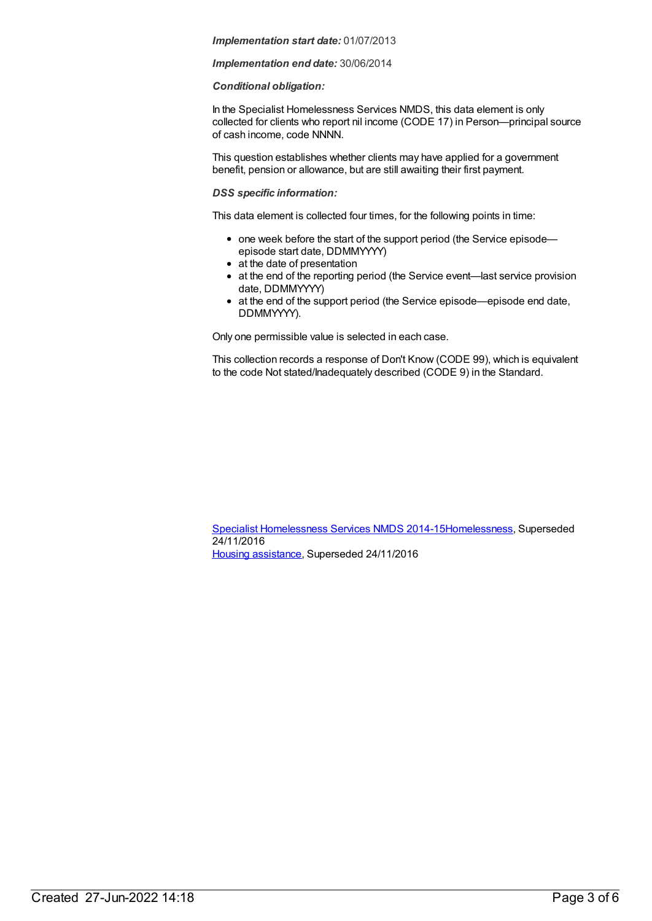#### *Implementation end date:* 30/06/2014

#### *Conditional obligation:*

In the Specialist Homelessness Services NMDS, this data element is only collected for clients who report nil income (CODE 17) in Person—principal source of cash income, code NNNN.

This question establishes whether clients may have applied for a government benefit, pension or allowance, but are still awaiting their first payment.

#### *DSS specific information:*

This data element is collected four times, for the following points in time:

- one week before the start of the support period (the Service episodeepisode start date, DDMMYYYY)
- at the date of presentation
- at the end of the reporting period (the Service event—last service provision date, DDMMYYYY)
- at the end of the support period (the Service episode—episode end date, DDMMYYYY).

Only one permissible value is selected in each case.

This collection records a response of Don't Know (CODE 99), which is equivalent to the code Not stated/Inadequately described (CODE 9) in the Standard.

Specialist [Homelessness](https://meteor.aihw.gov.au/content/581255) Services NMDS 2014-1[5Homelessness](https://meteor.aihw.gov.au/RegistrationAuthority/14), Superseded 24/11/2016 Housing [assistance](https://meteor.aihw.gov.au/RegistrationAuthority/11), Superseded 24/11/2016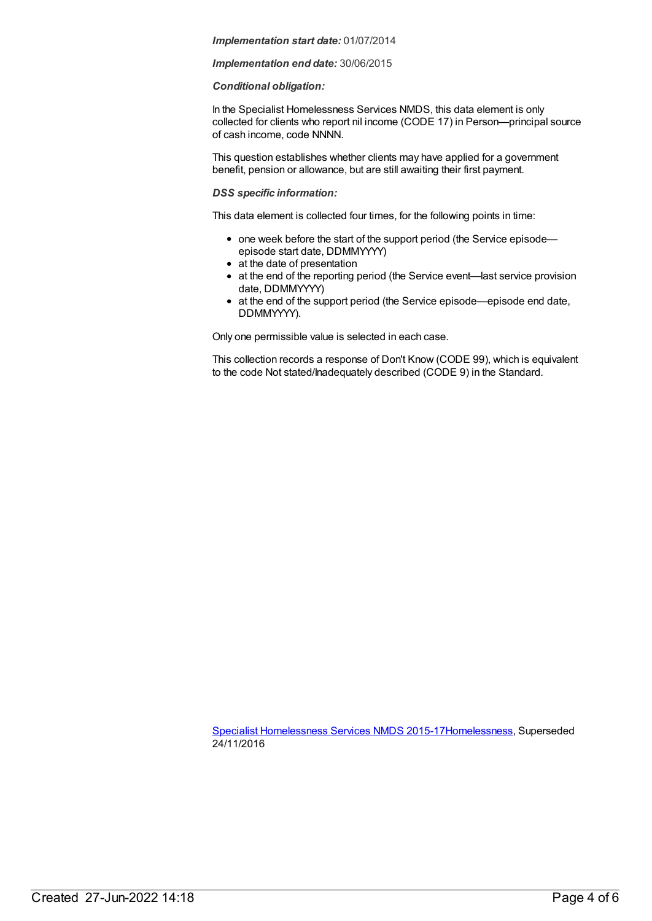#### *Implementation end date:* 30/06/2015

#### *Conditional obligation:*

In the Specialist Homelessness Services NMDS, this data element is only collected for clients who report nil income (CODE 17) in Person—principal source of cash income, code NNNN.

This question establishes whether clients may have applied for a government benefit, pension or allowance, but are still awaiting their first payment.

#### *DSS specific information:*

This data element is collected four times, for the following points in time:

- one week before the start of the support period (the Service episodeepisode start date, DDMMYYYY)
- at the date of presentation
- at the end of the reporting period (the Service event—last service provision date, DDMMYYYY)
- at the end of the support period (the Service episode—episode end date, DDMMYYYY).

Only one permissible value is selected in each case.

This collection records a response of Don't Know (CODE 99), which is equivalent to the code Not stated/Inadequately described (CODE 9) in the Standard.

Specialist [Homelessness](https://meteor.aihw.gov.au/content/658005) Services NMDS 2015-1[7Homelessness](https://meteor.aihw.gov.au/RegistrationAuthority/14), Superseded 24/11/2016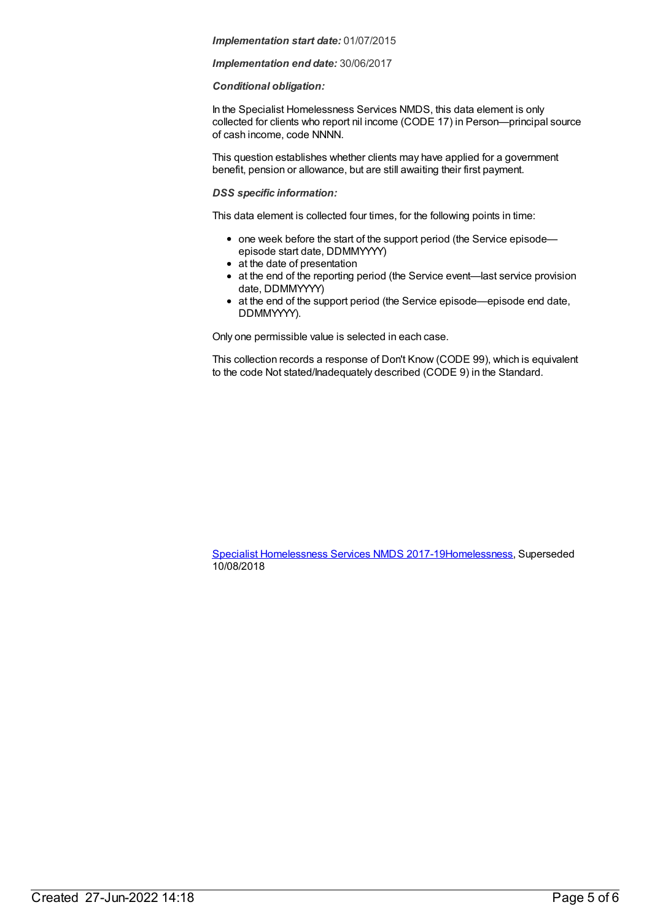#### *Implementation end date:* 30/06/2017

#### *Conditional obligation:*

In the Specialist Homelessness Services NMDS, this data element is only collected for clients who report nil income (CODE 17) in Person—principal source of cash income, code NNNN.

This question establishes whether clients may have applied for a government benefit, pension or allowance, but are still awaiting their first payment.

#### *DSS specific information:*

This data element is collected four times, for the following points in time:

- one week before the start of the support period (the Service episodeepisode start date, DDMMYYYY)
- at the date of presentation
- at the end of the reporting period (the Service event—last service provision date, DDMMYYYY)
- at the end of the support period (the Service episode—episode end date, DDMMYYYY).

Only one permissible value is selected in each case.

This collection records a response of Don't Know (CODE 99), which is equivalent to the code Not stated/Inadequately described (CODE 9) in the Standard.

Specialist [Homelessness](https://meteor.aihw.gov.au/content/650006) Services NMDS 2017-1[9Homelessness](https://meteor.aihw.gov.au/RegistrationAuthority/14), Superseded 10/08/2018